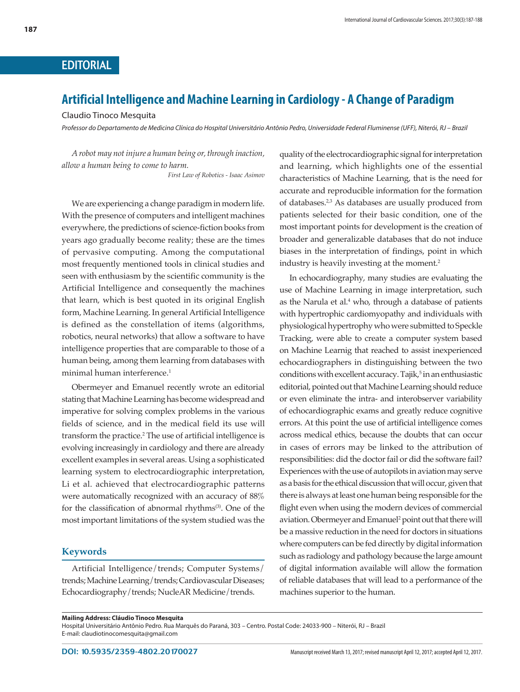## EDITORIAL

## **Artificial Intelligence and Machine Learning in Cardiology - A Change of Paradigm**

Claudio Tinoco Mesquita

*Professor do Departamento de Medicina Clínica do Hospital Universitário Antônio Pedro, Universidade Federal Fluminense (UFF), Niterói, RJ – Brazil*

*A robot may not injure a human being or, through inaction, allow a human being to come to harm. First Law of Robotics - Isaac Asimov*

We are experiencing a change paradigm in modern life. With the presence of computers and intelligent machines everywhere, the predictions of science-fiction books from years ago gradually become reality; these are the times of pervasive computing. Among the computational most frequently mentioned tools in clinical studies and seen with enthusiasm by the scientific community is the Artificial Intelligence and consequently the machines that learn, which is best quoted in its original English form, Machine Learning. In general Artificial Intelligence is defined as the constellation of items (algorithms, robotics, neural networks) that allow a software to have intelligence properties that are comparable to those of a human being, among them learning from databases with minimal human interference.<sup>1</sup>

Obermeyer and Emanuel recently wrote an editorial stating that Machine Learning has become widespread and imperative for solving complex problems in the various fields of science, and in the medical field its use will transform the practice.2 The use of artificial intelligence is evolving increasingly in cardiology and there are already excellent examples in several areas. Using a sophisticated learning system to electrocardiographic interpretation, Li et al. achieved that electrocardiographic patterns were automatically recognized with an accuracy of 88% for the classification of abnormal rhythms<sup>(3)</sup>. One of the most important limitations of the system studied was the

## **Keywords**

Artificial Intelligence/trends; Computer Systems/ trends; Machine Learning/trends; Cardiovascular Diseases; Echocardiography/trends; NucleAR Medicine/trends.

quality of the electrocardiographic signal for interpretation and learning, which highlights one of the essential characteristics of Machine Learning, that is the need for accurate and reproducible information for the formation of databases.<sup>2,3</sup> As databases are usually produced from patients selected for their basic condition, one of the most important points for development is the creation of broader and generalizable databases that do not induce biases in the interpretation of findings, point in which industry is heavily investing at the moment.<sup>2</sup>

In echocardiography, many studies are evaluating the use of Machine Learning in image interpretation, such as the Narula et al.<sup>4</sup> who, through a database of patients with hypertrophic cardiomyopathy and individuals with physiological hypertrophy who were submitted to Speckle Tracking, were able to create a computer system based on Machine Learnig that reached to assist inexperienced echocardiographers in distinguishing between the two conditions with excellent accuracy. Tajik,<sup>5</sup> in an enthusiastic editorial, pointed out that Machine Learning should reduce or even eliminate the intra- and interobserver variability of echocardiographic exams and greatly reduce cognitive errors. At this point the use of artificial intelligence comes across medical ethics, because the doubts that can occur in cases of errors may be linked to the attribution of responsibilities: did the doctor fail or did the software fail? Experiences with the use of autopilots in aviation may serve as a basis for the ethical discussion that will occur, given that there is always at least one human being responsible for the flight even when using the modern devices of commercial aviation. Obermeyer and Emanuel<sup>2</sup> point out that there will be a massive reduction in the need for doctors in situations where computers can be fed directly by digital information such as radiology and pathology because the large amount of digital information available will allow the formation of reliable databases that will lead to a performance of the machines superior to the human.

Hospital Universitário Antônio Pedro. Rua Marquês do Paraná, 303 – Centro. Postal Code: 24033-900 – Niterói, RJ – Brazil E-mail: claudiotinocomesquita@gmail.com